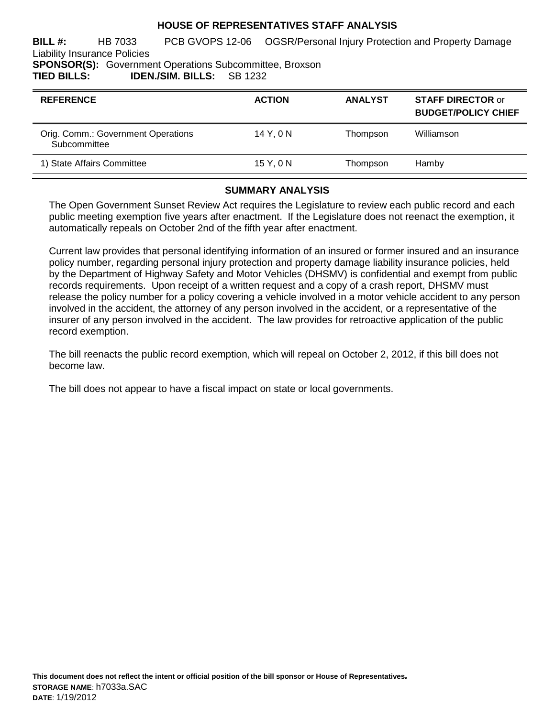## **HOUSE OF REPRESENTATIVES STAFF ANALYSIS**

**BILL #:** HB 7033 PCB GVOPS 12-06 OGSR/Personal Injury Protection and Property Damage Liability Insurance Policies **SPONSOR(S):** Government Operations Subcommittee, Broxson

**TIED BILLS: IDEN./SIM. BILLS:** SB 1232

| <b>REFERENCE</b>                                   | <b>ACTION</b> | <b>ANALYST</b> | <b>STAFF DIRECTOR or</b><br><b>BUDGET/POLICY CHIEF</b> |
|----------------------------------------------------|---------------|----------------|--------------------------------------------------------|
| Orig. Comm.: Government Operations<br>Subcommittee | 14 Y, 0 N     | Thompson       | Williamson                                             |
| 1) State Affairs Committee                         | 15 Y, 0 N     | Thompson       | Hamby                                                  |

#### **SUMMARY ANALYSIS**

The Open Government Sunset Review Act requires the Legislature to review each public record and each public meeting exemption five years after enactment. If the Legislature does not reenact the exemption, it automatically repeals on October 2nd of the fifth year after enactment.

Current law provides that personal identifying information of an insured or former insured and an insurance policy number, regarding personal injury protection and property damage liability insurance policies, held by the Department of Highway Safety and Motor Vehicles (DHSMV) is confidential and exempt from public records requirements. Upon receipt of a written request and a copy of a crash report, DHSMV must release the policy number for a policy covering a vehicle involved in a motor vehicle accident to any person involved in the accident, the attorney of any person involved in the accident, or a representative of the insurer of any person involved in the accident. The law provides for retroactive application of the public record exemption.

The bill reenacts the public record exemption, which will repeal on October 2, 2012, if this bill does not become law.

The bill does not appear to have a fiscal impact on state or local governments.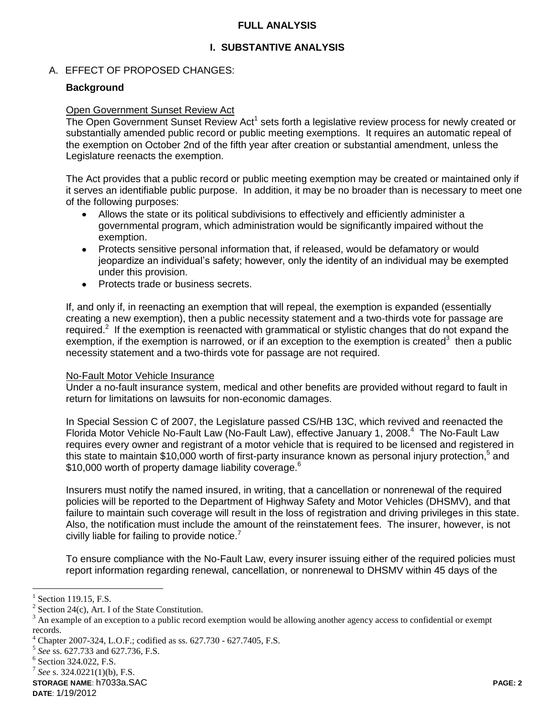## **FULL ANALYSIS**

## **I. SUBSTANTIVE ANALYSIS**

## A. EFFECT OF PROPOSED CHANGES:

## **Background**

#### Open Government Sunset Review Act

The Open Government Sunset Review Act<sup>1</sup> sets forth a legislative review process for newly created or substantially amended public record or public meeting exemptions. It requires an automatic repeal of the exemption on October 2nd of the fifth year after creation or substantial amendment, unless the Legislature reenacts the exemption.

The Act provides that a public record or public meeting exemption may be created or maintained only if it serves an identifiable public purpose. In addition, it may be no broader than is necessary to meet one of the following purposes:

- Allows the state or its political subdivisions to effectively and efficiently administer a governmental program, which administration would be significantly impaired without the exemption.
- Protects sensitive personal information that, if released, would be defamatory or would jeopardize an individual's safety; however, only the identity of an individual may be exempted under this provision.
- Protects trade or business secrets.  $\bullet$

If, and only if, in reenacting an exemption that will repeal, the exemption is expanded (essentially creating a new exemption), then a public necessity statement and a two-thirds vote for passage are required.<sup>2</sup> If the exemption is reenacted with grammatical or stylistic changes that do not expand the exemption, if the exemption is narrowed, or if an exception to the exemption is created<sup>3</sup> then a public necessity statement and a two-thirds vote for passage are not required.

#### No-Fault Motor Vehicle Insurance

Under a no-fault insurance system, medical and other benefits are provided without regard to fault in return for limitations on lawsuits for non-economic damages.

In Special Session C of 2007, the Legislature passed CS/HB 13C, which revived and reenacted the Florida Motor Vehicle No-Fault Law (No-Fault Law), effective January 1, 2008.<sup>4</sup> The No-Fault Law requires every owner and registrant of a motor vehicle that is required to be licensed and registered in this state to maintain \$10,000 worth of first-party insurance known as personal injury protection,<sup>5</sup> and \$10,000 worth of property damage liability coverage.<sup>6</sup>

Insurers must notify the named insured, in writing, that a cancellation or nonrenewal of the required policies will be reported to the Department of Highway Safety and Motor Vehicles (DHSMV), and that failure to maintain such coverage will result in the loss of registration and driving privileges in this state. Also, the notification must include the amount of the reinstatement fees. The insurer, however, is not civilly liable for failing to provide notice.<sup>7</sup>

To ensure compliance with the No-Fault Law, every insurer issuing either of the required policies must report information regarding renewal, cancellation, or nonrenewal to DHSMV within 45 days of the

 $\overline{a}$ 

**STORAGE NAME**: h7033a.SAC **PAGE: 2**

<sup>1</sup> Section 119.15, F.S.

<sup>2</sup> Section 24(c), Art. I of the State Constitution.

<sup>3</sup> An example of an exception to a public record exemption would be allowing another agency access to confidential or exempt records.

<sup>4</sup> Chapter 2007-324, L.O.F.; codified as ss. 627.730 - 627.7405, F.S.

<sup>5</sup> *See* ss. 627.733 and 627.736, F.S.

<sup>6</sup> Section 324.022, F.S.

<sup>7</sup> *See* s. 324.0221(1)(b), F.S.

**DATE**: 1/19/2012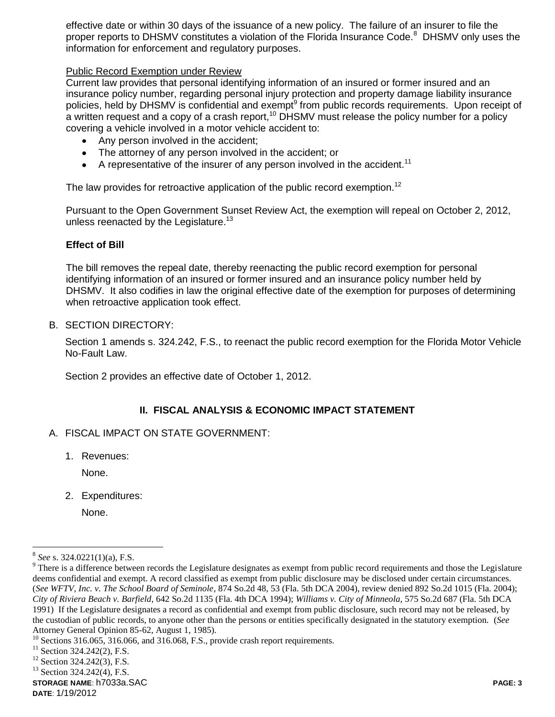effective date or within 30 days of the issuance of a new policy. The failure of an insurer to file the proper reports to DHSMV constitutes a violation of the Florida Insurance Code.<sup>8</sup> DHSMV only uses the information for enforcement and regulatory purposes.

## Public Record Exemption under Review

Current law provides that personal identifying information of an insured or former insured and an insurance policy number, regarding personal injury protection and property damage liability insurance policies, held by DHSMV is confidential and exempt<sup>9</sup> from public records requirements. Upon receipt of a written request and a copy of a crash report,  $10$  DHSMV must release the policy number for a policy covering a vehicle involved in a motor vehicle accident to:

- Any person involved in the accident:
- The attorney of any person involved in the accident; or
- A representative of the insurer of any person involved in the accident.<sup>11</sup>

The law provides for retroactive application of the public record exemption.<sup>12</sup>

Pursuant to the Open Government Sunset Review Act, the exemption will repeal on October 2, 2012, unless reenacted by the Legislature.<sup>13</sup>

#### **Effect of Bill**

The bill removes the repeal date, thereby reenacting the public record exemption for personal identifying information of an insured or former insured and an insurance policy number held by DHSMV. It also codifies in law the original effective date of the exemption for purposes of determining when retroactive application took effect.

B. SECTION DIRECTORY:

Section 1 amends s. 324.242, F.S., to reenact the public record exemption for the Florida Motor Vehicle No-Fault Law.

Section 2 provides an effective date of October 1, 2012.

## **II. FISCAL ANALYSIS & ECONOMIC IMPACT STATEMENT**

- A. FISCAL IMPACT ON STATE GOVERNMENT:
	- 1. Revenues:

None.

2. Expenditures:

None.

 $\overline{a}$ 

**STORAGE NAME**: h7033a.SAC **PAGE: 3**

<sup>8</sup> *See* s. 324.0221(1)(a), F.S.

 $9$  There is a difference between records the Legislature designates as exempt from public record requirements and those the Legislature deems confidential and exempt. A record classified as exempt from public disclosure may be disclosed under certain circumstances. (*See WFTV, Inc. v. The School Board of Seminole*, 874 So.2d 48, 53 (Fla. 5th DCA 2004), review denied 892 So.2d 1015 (Fla. 2004); *City of Riviera Beach v. Barfield*, 642 So.2d 1135 (Fla. 4th DCA 1994); *Williams v. City of Minneola*, 575 So.2d 687 (Fla. 5th DCA 1991) If the Legislature designates a record as confidential and exempt from public disclosure, such record may not be released, by the custodian of public records, to anyone other than the persons or entities specifically designated in the statutory exemption. (*See* Attorney General Opinion 85-62, August 1, 1985).

<sup>&</sup>lt;sup>10</sup> Sections 316.065, 316.066, and 316.068, F.S., provide crash report requirements.

 $11$  Section 324.242(2), F.S.

<sup>&</sup>lt;sup>12</sup> Section 324.242(3), F.S.

<sup>&</sup>lt;sup>13</sup> Section 324.242(4), F.S.